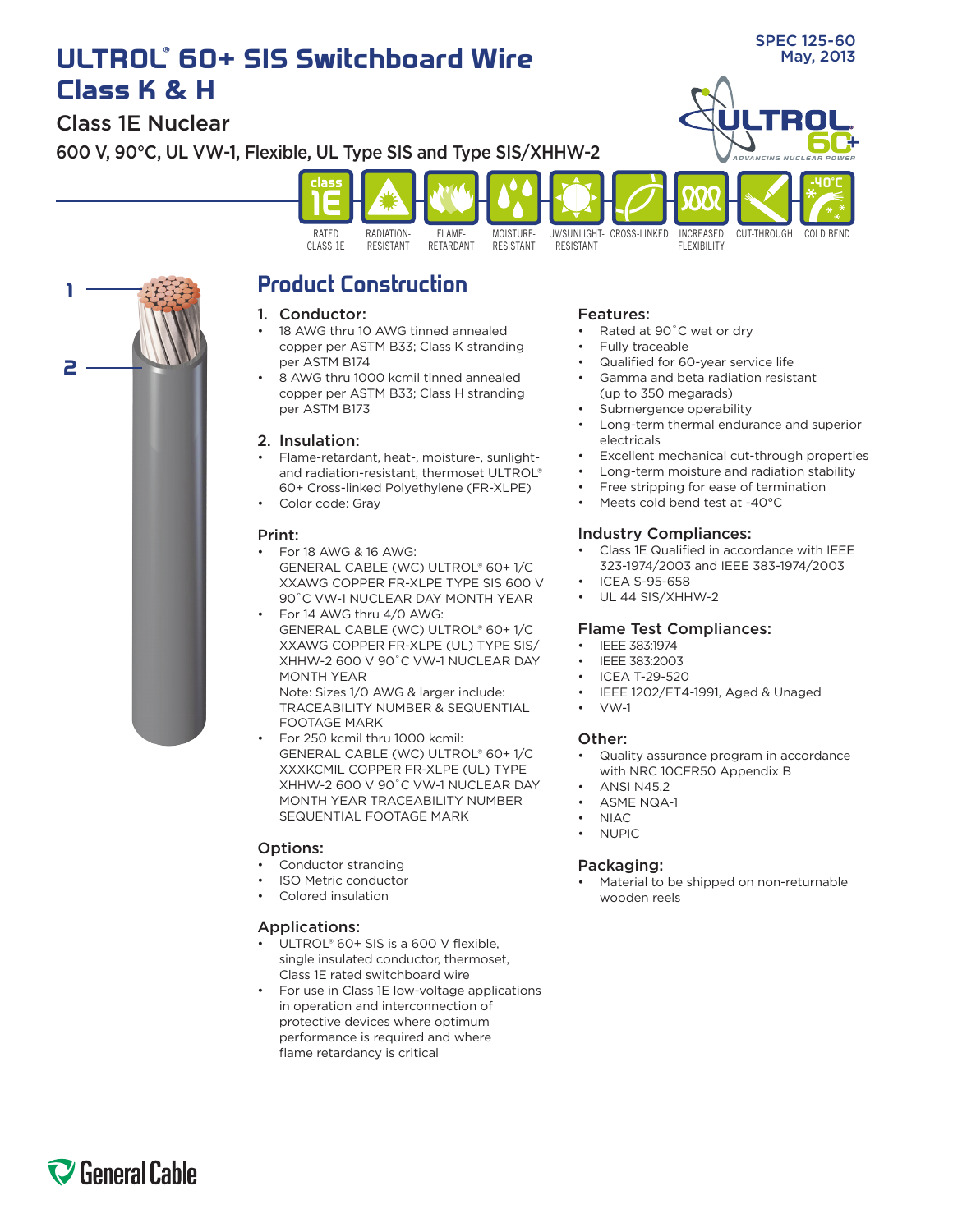# **ULTROL** May, 2013 **® 60+ SIS Switchboard Wire Class K & H**

Class 1E Nuclear

**2**

**1**

SPEC 125-60



## **Product Construction**

## 1. Conductor:

- 18 AWG thru 10 AWG tinned annealed copper per ASTM B33; Class K stranding per ASTM B174
- 8 AWG thru 1000 kcmil tinned annealed copper per ASTM B33; Class H stranding per ASTM B173

## 2. Insulation:

- Flame-retardant, heat-, moisture-, sunlightand radiation-resistant, thermoset ULTROL® 60+ Cross-linked Polyethylene (FR-XLPE)
- • Color code: Gray

## Print:

- For  $18$  AWG  $\&$   $16$  AWG: GENERAL CABLE (WC) ULTROL® 60+ 1/C XXAWG COPPER FR-XLPE TYPE SIS 600 V 90˚C VW-1 NUCLEAR DAY MONTH YEAR
- For 14 AWG thru 4/0 AWG: GENERAL CABLE (WC) ULTROL® 60+ 1/C XXAWG COPPER FR-XLPE (UL) TYPE SIS/ XHHW-2 600 V 90˚C VW-1 NUCLEAR DAY MONTH YEAR

Note: Sizes 1/0 AWG & larger include: TRACEABILITY NUMBER & SEQUENTIAL FOOTAGE MARK

For 250 kcmil thru 1000 kcmil: GENERAL CABLE (WC) ULTROL® 60+ 1/C XXXKCMIL COPPER FR-XLPE (UL) TYPE XHHW-2 600 V 90˚C VW-1 NUCLEAR DAY MONTH YEAR TRACEABILITY NUMBER SEQUENTIAL FOOTAGE MARK

## Options:

- Conductor stranding
- **ISO Metric conductor**
- Colored insulation

## Applications:

- ULTROL® 60+ SIS is a 600 V flexible, single insulated conductor, thermoset, Class 1E rated switchboard wire
- For use in Class 1E low-voltage applications in operation and interconnection of protective devices where optimum performance is required and where flame retardancy is critical

#### Features:

- Rated at 90°C wet or dry
- Fully traceable
- Qualified for 60-year service life
- Gamma and beta radiation resistant (up to 350 megarads)
- Submergence operability
- Long-term thermal endurance and superior electricals
- Excellent mechanical cut-through properties
- Long-term moisture and radiation stability
- Free stripping for ease of termination
- Meets cold bend test at -40°C

## Industry Compliances:

- Class 1E Qualified in accordance with IEEE 323-1974/2003 and IEEE 383-1974/2003
- **ICEA S-95-658**
- UL 44 SIS/XHHW-2

## Flame Test Compliances:

- IEEE 383:1974
- IEEE 383:2003
- ICEA T-29-520
- IEEE 1202/FT4-1991, Aged & Unaged
- $VW-1$

## Other:

- Quality assurance program in accordance with NRC 10CFR50 Appendix B
- **ANSI N452**
- ASME NQA-1
- **NIAC**
- **NUPIC**

## Packaging:

Material to be shipped on non-returnable wooden reels